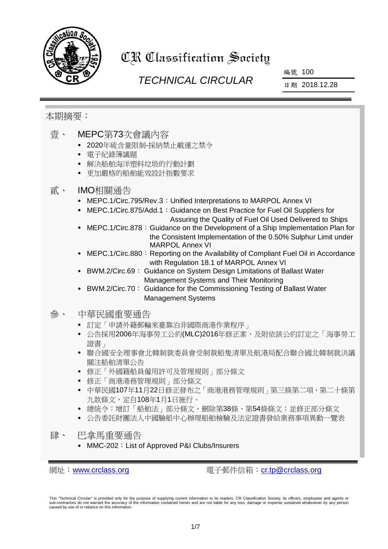

# CR Classification Society

## *TECHNICAL CIRCULAR*

編號 100

日期 2018.12.28

## 本期摘要:

- 壹、 MEPC第73次會議內容
	- 2020年硫含量限制-採納禁止載運之禁令
	- 電子紀錄簿議題
	- 解決船舶海洋塑料垃圾的行動計劃
	- 更加嚴格的船舶能效設計指數要求

#### 貳、 IMO相關通告

- MEPC.1/Circ.795/Rev.3:Unified Interpretations to MARPOL Annex VI
- MEPC.1/Circ.875/Add.1: Guidance on Best Practice for Fuel Oil Suppliers for Assuring the Quality of Fuel Oil Used Delivered to Ships
- MEPC.1/Circ.878: Guidance on the Development of a Ship Implementation Plan for the Consistent Implementation of the 0.50% Sulphur Limit under MARPOL Annex VI
- MEPC.1/Circ.880: Reporting on the Availability of Compliant Fuel Oil in Accordance with Regulation 18.1 of MARPOL Annex VI
- BWM.2/Circ.69: Guidance on System Design Limitations of Ballast Water Management Systems and Their Monitoring
- BWM.2/Circ.70: Guidance for the Commissioning Testing of Ballast Water Management Systems
- 參、 中華民國重要通告
	- 訂定「申請外籍郵輪來臺靠泊非國際商港作業程序」
	- 公告採用2006年海事勞工公約(MLC)2016年修正案,及附依該公約訂定之「海事勞工 證書」
	- 聯合國安全理事會北韓制裁委員會受制裁船隻清單及航港局配合聯合國北韓制裁決議 關注船舶清單公告
	- 修正「外國籍船員僱用許可及管理規則」部分條文
	- 修正「商港港務管理規則」部分條文
	- 中華民國107年11月22日修正發布之「商港港務管理規則」第三條第二項、第二十條第 九款條文,定自108年1月1日施行。
	- 總統令:增訂「船舶法」部分條文、刪除第38條、第54條條文;並修正部分條文
	- 公告委託財團法人中國驗船中心辦理船舶檢驗及法定證書發給業務事項異動一覽表
- 肆、 巴拿馬重要涌告
	- MMC-202: List of Approved P&I Clubs/Insurers

網址: [www.crclass.org](http://www.crclass.org/) 雷子郵件信箱: [cr.tp@crclass.org](mailto:cr.tp@crclass.org)

This "Technical Circular" is provided only for the purpose of supplying current information to its readers. CR Classification Society, its officers, employees and agents or sub-contractors do not warrant the accuracy of the information contained herein and are not liable for any loss, damage or expense sustained whatsoever by any person caused by use of or reliance on this information.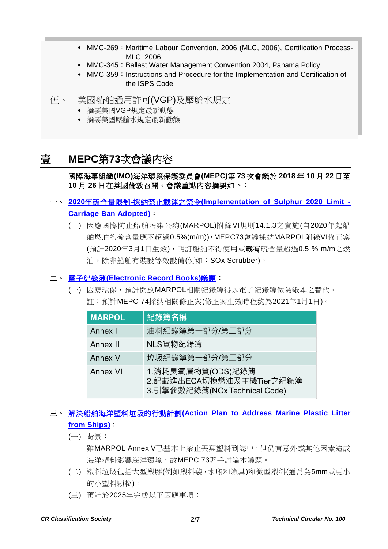- MMC-269: Maritime Labour Convention, 2006 (MLC, 2006), Certification Process-MLC, 2006
- MMC-345: Ballast Water Management Convention 2004, Panama Policy
- MMC-359: Instructions and Procedure for the Implementation and Certification of the ISPS Code
- 伍、 美國船舶通用許可(VGP)及壓艙水規定
	- 摘要美國VGP規定最新動態
	- 摘要美國壓艙水規定最新動態

## 壹 **MEPC**第**73**次會議內容

#### 國際海事組織**(IMO)**海洋環境保護委員會**(MEPC)**第 **73** 次會議於 **2018** 年 **10** 月 **22** 日至 **10** 月 **26** 日在英國倫敦召開。會議重點內容摘要如下:

## 一、 **2020**年硫含量限制**-**採納禁止載運之禁令**[\(Implementation of Sulphur 2020 Limit -](http://www.imo.org/en/MediaCentre/PressBriefings/Pages/19-Implementation-of-sulphur-2020-limit-.aspx) [Carriage Ban Adopted\)](http://www.imo.org/en/MediaCentre/PressBriefings/Pages/19-Implementation-of-sulphur-2020-limit-.aspx)**:

(一) 因應國際防止船舶污染公約(MARPOL)附錄VI規則14.1.3之實施(自2020年起船 舶燃油的硫含量應不超過0.5%(m/m)),MEPC73會議採納MARPOL附錄VI修正案 (預計2020年3月1日生效),明訂船舶不得使用或載有硫含量超過0.5 % m/m之燃 油,除非船舶有裝設等效設備(例如:SOx Scrubber)。

#### 二、 電子紀錄簿**[\(Electronic Record Books\)](http://www.imo.org/en/MediaCentre/MeetingSummaries/MEPC/Pages/MEPC-73rd-session.aspx)**議題:

(一) 因應環保,預計開放MARPOL相關紀錄簿得以電子紀錄簿做為紙本之替代。 註:預計MEPC 74採納相關修正案(修正案生效時程約為2021年1月1日)。

| <b>MARPOL</b>  | 紀錄簿名稱                                                                           |  |
|----------------|---------------------------------------------------------------------------------|--|
| Annex I        | 油料紀錄簿第一部分/第二部分                                                                  |  |
| Annex II       | NLS貨物紀錄簿                                                                        |  |
| <b>Annex V</b> | 垃圾紀錄簿第一部分/第二部分                                                                  |  |
| Annex VI       | 1. 消耗臭氧層物質(ODS)紀錄簿<br>2.記載進出ECA切換燃油及主機Tier之紀錄簿<br>3.引擎參數紀錄簿(NOx Technical Code) |  |

#### 三、 解決船舶海洋塑料垃圾的行動計劃**[\(Action Plan to Address Marine Plastic Litter](http://www.imo.org/en/MediaCentre/PressBriefings/Pages/20-marinelitteractionmecp73.aspx)  [from Ships\)](http://www.imo.org/en/MediaCentre/PressBriefings/Pages/20-marinelitteractionmecp73.aspx)**:

(一) 背景:

雖MARPOL Annex V已基本上禁止丟棄塑料到海中,但仍有意外或其他因素造成 海洋塑料影響海洋環境,故MEPC 73著手討論本議題。

- (二) 塑料垃圾包括大型塑膠(例如塑料袋,水瓶和漁具)和微型塑料(通常為5mm或更小 的小塑料顆粒)。
- (三) 預計於2025年完成以下因應事項: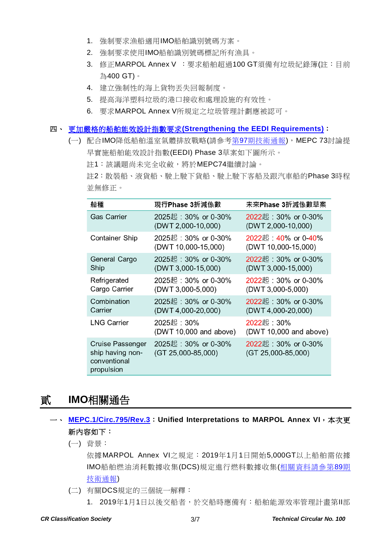- 1. 強制要求漁船適用IMO船舶識別號碼方案。
- 2. 強制要求使用IMO船舶識別號碼標記所有漁具。
- 3. 修正MARPOL Annex V : 要求船舶超過100 GT須備有垃圾紀錄簿(註:目前 為400 GT)。
- 4. 建立強制性的海上貨物丟失回報制度。
- 5. 提高海洋塑料垃圾的港口接收和處理設施的有效性。
- 6. 要求MARPOL Annex V所規定之垃圾管理計劃應被認可。

#### 四、 更加嚴格的船舶能效設計指數要求**[\(Strengthening the EEDI Requirements\)](http://www.imo.org/en/MediaCentre/MeetingSummaries/MEPC/Pages/MEPC-73rd-session.aspx)**:

(一) 配合IMO降低船舶溫室氣體排放戰略(請參考第97[期技術通報](https://www.crclass.org/chinese/download/ti-tc/97/97.pdf)), MEPC 73討論提 早實施船舶能效設計指數(EEDI) Phase 3草案如下圖所示。 註1:該議題尚未完全收斂,將於MEPC74繼續討論。

註2:散裝船、液貨船、駛上駛下貨船、駛上駛下客船及跟汽車船的Phase 3時程 並無修正。

| 船種                                                                 | 現行Phase 3折減係數                               | 未來Phase 3折減係數草案                             |
|--------------------------------------------------------------------|---------------------------------------------|---------------------------------------------|
| <b>Gas Carrier</b>                                                 | 2025起: 30% or 0-30%<br>(DWT 2,000-10,000)   | 2022起: 30% or 0-30%<br>(DWT 2,000-10,000)   |
| <b>Container Ship</b>                                              | 2025起: 30% or 0-30%<br>(DWT 10,000-15,000)  | 2022起: 40% or 0-40%<br>(DWT 10,000-15,000)  |
| General Cargo<br>Ship                                              | 2025起: 30% or 0-30%<br>(DWT 3,000-15,000)   | 2022起: 30% or 0-30%<br>(DWT 3,000-15,000)   |
| Refrigerated<br>Cargo Carrier                                      | 2025起: 30% or 0-30%<br>$(DWT 3,000-5,000)$  | 2022起: 30% or 0-30%<br>$(DWT 3,000-5,000)$  |
| Combination<br>Carrier                                             | 2025起: 30% or 0-30%<br>(DWT 4,000-20,000)   | 2022起: 30% or 0-30%<br>(DWT 4,000-20,000)   |
| <b>LNG Carrier</b>                                                 | 2025起:30%<br>$(DWT 10,000$ and above)       | 2022起: 30%<br>(DWT 10,000 and above)        |
| Cruise Passenger<br>ship having non-<br>conventional<br>propulsion | 2025起: 30% or 0-30%<br>$(GT 25,000-85,000)$ | 2022起: 30% or 0-30%<br>$(GT 25,000-85,000)$ |

## 貳 **IMO**相關通告

#### 一、 **[MEPC.1/Circ.795/Rev.3](https://www.crclass.org/chinese/download/ti-tc/100/2-1%20MEPC.1-Circ.795-Rev.3%20-%20Unified%20Interpretations%20To%20Marpol%20Annex%20Vi%20(Secretariat).pdf)**:**Unified Interpretations to MARPOL Annex VI**,本次更 新內容如下:

(一) 背景:

依據MARPOL Annex VI之規定:2019年1月1日開始5,000GT以上船舶需依據 IMO船舶燃油消耗數據收集(DCS)規定進行燃料數據收集([相關資料請參第](https://www.crclass.org/chinese/download/ti-tc/89/89.pdf)89期 [技術通報](https://www.crclass.org/chinese/download/ti-tc/89/89.pdf))

(二) 有關DCS規定的三個統一解釋:

1. 2019年1月1日以後交船者,於交船時應備有:船舶能源效率管理計畫第II部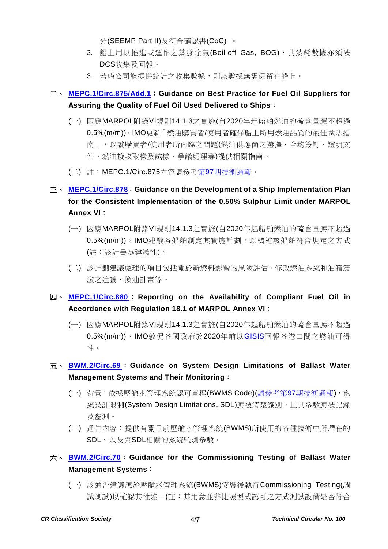分(SEEMP Part II)及符合確認書(CoC) 。

- 2. 船上用以推進或運作之蒸發除氣(Boil-off Gas, BOG),其消耗數據亦須被 DCS收集及回報。
- 3. 若船公司能提供統計之收集數據,則該數據無需保留在船上。

## 二、 **[MEPC.1/Circ.875/Add.1](https://www.crclass.org/chinese/download/ti-tc/100/2-2%20MEPC.1-Circ.875-Add.1%20-%20Guidance%20On%20Best%20Practice%20For%20Fuel%20Oil%20Suppliers%20For%20Assuring%20The%20Quality%20Of%20Fuel%20Oil%20Deli...%20(Secretariat).pdf)**:**Guidance on Best Practice for Fuel Oil Suppliers for Assuring the Quality of Fuel Oil Used Delivered to Ships**:

- (一) 因應MARPOL附錄VI規則14.1.3之實施(自2020年起船舶燃油的硫含量應不超過 0.5%(m/m)),IMO更新「燃油購買者/使用者確保船上所用燃油品質的最佳做法指 南」,以就購買者/使用者所面臨之問題(燃油供應商之選擇、合約簽訂、證明文 件、燃油接收取樣及試樣、爭議處理等)提供相關指南。
- (二) 註:MEPC.1/Circ.875內容請參考第97[期技術通報。](https://www.crclass.org/chinese/download/ti-tc/97/97.pdf)

## 三、 **[MEPC.1/Circ.878](https://www.crclass.org/chinese/download/ti-tc/100/2-3%20MEPC.1-Circ.878%20-%20Guidance%20On%20The%20Development%20Of%20A%20Ship%20Implementation%20Plan%20For%20The%20Consistent%20Implementatio...%20(Secretariat).pdf)**:**Guidance on the Development of a Ship Implementation Plan for the Consistent Implementation of the 0.50% Sulphur Limit under MARPOL Annex VI**:

- (一) 因應MARPOL附錄VI規則14.1.3之實施(自2020年起船舶燃油的硫含量應不超過 0.5%(m/m)),IMO建議各船舶制定其實施計劃,以概述該船舶符合規定之方式 (註:該計畫為建議性)。
- (二) 該計劃建議處理的項目包括關於新燃料影響的風險評估、修改燃油系統和油箱清 潔之建議、換油計畫等。

#### 四、 **[MEPC.1/Circ.880](https://www.crclass.org/chinese/download/ti-tc/100/2-4%20MEPC.1-Circ.880%20-%20Reporting%20Of%20Availability%20Of%20Compliant%20Fuel%20Oils%20In%20AccordanceWith%20Regulation%2018.1%20Of%20Marp...%20(Secretariat).pdf)** : **Reporting on the Availability of Compliant Fuel Oil in Accordance with Regulation 18.1 of MARPOL Annex VI**:

(一) 因應MARPOL附錄VI規則14.1.3之實施(自2020年起船舶燃油的硫含量應不超過 0.5%(m/m)),IMO敦促各國政府於2020年前以[GISIS](https://gisis.imo.org/)回報各港口間之燃油可得 性。

#### 五、 **[BWM.2/Circ.69](https://www.crclass.org/chinese/download/ti-tc/100/2-5%20BWM.2-Circ.69%20-%20Guidance%20on%20System%20Design%20Limitations%20of%20ballast%20water%20management%20systems%20and%20their%20monito...%20(Secretariat).pdf)**: **Guidance on System Design Limitations of Ballast Water Management Systems and Their Monitoring**:

- (一) 背景:依據壓艙水管理系統認可章程(BWMS Code)(請參考第97[期技術通報](https://www.crclass.org/chinese/download/ti-tc/97/97.pdf)),系 統設計限制(System Design Limitations, SDL)應被清楚識別,且其參數應被記錄 及監測。
- (二) 通告內容:提供有關目前壓艙水管理系統(BWMS)所使用的各種技術中所潛在的 SDL、以及與SDL相關的系統監測參數。

#### 六、 **[BWM.2/Circ.70](https://www.crclass.org/chinese/download/ti-tc/100/2-6%20BWM.2-Circ.70%20-%20Guidance%20for%20the%20commissioning%20testing%20of%20ballast%20water%20management%20systems%20(Secretariat).pdf)**:**Guidance for the Commissioning Testing of Ballast Water Management Systems**:

(一) 該通告建議應於壓艙水管理系統(BWMS)安裝後執行Commissioning Testing(調 試測試)以確認其性能。(註:其用意並非比照型式認可之方式測試設備是否符合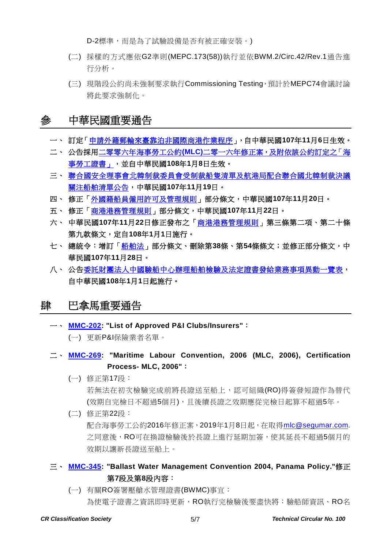D-2標準,而是為了試驗設備是否有被正確安裝。)

- (二) 採樣的方式應依G2準則(MEPC.173(58))執行並依BWM.2/Circ.42/Rev.1通告進 行分析。
- (三) 現階段公約尚未強制要求執行Commissioning Testing,預計於MEPC74會議討論 將此要求強制化。

## 參 中華民國重要通告

- 一、 訂定[「申請外籍郵輪來臺靠泊非國際商港作業程序」](https://gazette.nat.gov.tw/egFront/detail.do?metaid=102521&log=detailLog),自中華民國**107**年**11**月**6**日生效。
- 二、 公告採用二零零六年海事勞工公約**(MLC)**[二零一六年修正案,及附依該公約訂定之「海](https://gazette.nat.gov.tw/egFront/detail.do?metaid=102539&log=detailLog) [事勞工證書」,](https://gazette.nat.gov.tw/egFront/detail.do?metaid=102539&log=detailLog)並自中華民國**108**年**1**月**8**日生效。
- 三、 [聯合國安全理事會北韓制裁委員會受制裁船隻清單及航港局配合聯合國北韓制裁決議](https://www.motcmpb.gov.tw/information_103_11998.html) [關注船舶清單公告,](https://www.motcmpb.gov.tw/information_103_11998.html)中華民國**107**年**11**月**19**日。
- 四、 修正[「外國籍船員僱用許可及管理規則」](https://gazette.nat.gov.tw/egFront/detail.do?metaid=102845&log=detailLog)部分條文,中華民國**107**年**11**月**20**日。
- 五、 修正[「商港港務管理規則」](https://gazette.nat.gov.tw/egFront/detail.do?metaid=102890&log=detailLog)部分條文,中華民國**107**年**11**月**22**日。
- 六、 中華民國**107**年**11**月**22**日修正發布之[「商港港務管理規則」](https://gazette.nat.gov.tw/egFront/detail.do?metaid=103429&log=detailLog)第三條第二項、第二十條 第九款條文,定自**108**年**1**月**1**日施行。
- 七、 總統令:增訂[「船舶法」](https://gazette.nat.gov.tw/egFront/detail.do?metaid=103108&log=detailLog)部分條文、刪除第**38**條、第**54**條條文;並修正部分條文,中 華民國**107**年**11**月**28**日。
- 八、 公[告委託財團法人中國驗船中心辦理船舶檢驗及法定證書發給業務事項異動一覽表,](https://odmdoc.motc.gov.tw/IFDEWebBBS_MOTC/ExternalBBS.aspx?ThirdDocId=107RD06562) 自中華民國**108**年**1**月**1**日起施行。

## 肆 巴拿馬重要通告

一、 **[MMC-202:](https://www.crclass.org/chinese/download/ti-tc/100/4-1%20MMC-202-december-20-2018.pdf) "List of Approved P&I Clubs/Insurers"**:

(一) 更新P&I保險業者名單。

- 二、 **[MMC-269:](https://www.crclass.org/chinese/download/ti-tc/100/4-2%20MMC-269-OCTOBER-2018-3.pdf) "Maritime Labour Convention, 2006 (MLC, 2006), Certification Process- MLC, 2006"**:
	- (一) 修正第17段:

若無法在初次檢驗完成前將長證送至船上,認可組織(RO)得簽發短證作為替代 (效期自完檢日不超過5個月),且後續長證之效期應從完檢日起算不超過5年。

(二) 修正第22段:

配合海事勞工公約2016年修正案,2019年1月8日起,在取得mlc@sequmar.com. 之同意後,RO可在換證檢驗後於長證上進行延期加簽,使其延長不超過5個月的 效期以讓新長證送至船上。

- 三、 **[MMC-345:](https://www.crclass.org/chinese/download/ti-tc/100/4-3%20MMC-345-Ballast-Water-Management-Convention-2004-Panama-Policy-rev-dec-2018.pdf) "Ballast Water Management Convention 2004, Panama Policy."**修正 第**7**段及第**8**段內容:
	- (一) 有關RO簽署壓艙水管理證書(BWMC)事宜: 為使電子證書之資訊即時更新,RO執行完檢驗後要盡快將:驗船師資訊、RO名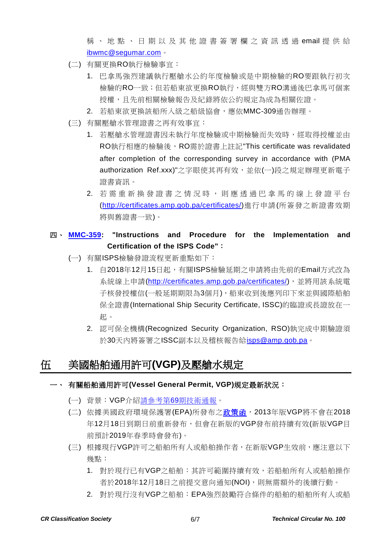稱 、地點、日期以及其他證書簽署欄之資訊透過 email 提供給 [ibwmc@segumar.com](mailto:ibwmc@segumar.com)。

- (二) 有關更換RO執行檢驗事宜:
	- 1. 巴拿馬強烈建議執行壓艙水公約年度檢驗或是中期檢驗的RO要跟執行初次 檢驗的RO一致;但若船東欲更換RO執行,經與雙方RO溝通後巴拿馬可個案 授權,且先前相關檢驗報告及紀錄將依公約規定為成為相關佐證。
	- 2. 若船東欲更換該船所入級之船級協會,應依MMC-309通告辦理。
- (三) 有關壓艙水管理證書之再有效事宜:
	- 1. 若壓艙水管理證書因未執行年度檢驗或中期檢驗而失效時,經取得授權並由 RO執行相應的檢驗後, RO需於證書上註記"This certificate was revalidated after completion of the corresponding survey in accordance with (PMA authorization Ref.xxx)"之字眼使其再有效,並依(一)段之規定辦理更新電子 證書資訊。
	- 2. 若需重新換發證書之情況時,則應透過巴拿馬的線上發證平台 [\(http://certificates.amp.gob.pa/certificates/\)](http://certificates.amp.gob.pa/certificates/)進行申請(所簽發之新證書效期 將與舊證書一致)。

#### 四、 **[MMC-359:](https://www.crclass.org/chinese/download/ti-tc/100/4-4%20MMC-359-DECEMBER-2018-1-1.pdf) "Instructions and Procedure for the Implementation and Certification of the ISPS Code"**:

- (一) 有關ISPS檢驗發證流程更新重點如下:
	- 1. 自2018年12月15日起,有關ISPS檢驗延期之申請將由先前的Email方式改為 系統線上申請[\(http://certificates.amp.gob.pa/certificates/\)](http://certificates.amp.gob.pa/certificates/),並將用該系統電 子核發授權信(一般延期期限為3個月),船東收到後應列印下來並與國際船舶 保全證書(International Ship Security Certificate, ISSC)的臨證或長證放在一 起。
	- 2. 認可保全機構(Recognized Security Organization, RSO)執完成中期驗證須 於30天內將簽署之ISSC副本以及稽核報告給[isps@amp.gob.pa](mailto:isps@amp.gob.pa)。

## 伍 美國船舶通用許可**(VGP)**及壓艙水規定

- 一、 有關船舶通用許可**(Vessel General Permit, VGP)**規定最新狀況:
	- (一) 背景:VGP介紹請參考第69[期技術通報。](https://www.crclass.org/chinese/download/ti-tc/69/69.pdf)
	- (二) 依據美國政府環境保護署(EPA)所發布[之政策函,](https://www.crclass.org/chinese/download/ti-tc/100/5-1%20epa-vgp-policy-letter-10-october-2018.pdf) 2013年版VGP將不會在2018 年12月18日到期日前重新發布,但會在新版的VGP發布前持續有效(新版VGP目 前預計2019年春季時會發布)。
	- (三) 根據現行VGP許可之船舶所有人或船舶操作者,在新版VGP生效前,應注意以下 幾點:
		- 1. 對於現行已有VGP之船舶:其許可範圍持續有效,若船舶所有人或船舶操作 者於2018年12月18日之前提交意向通知(NOI),則無需額外的後續行動。
		- 2. 對於現行沒有VGP之船舶:EPA強烈鼓勵符合條件的船舶的船舶所有人或船